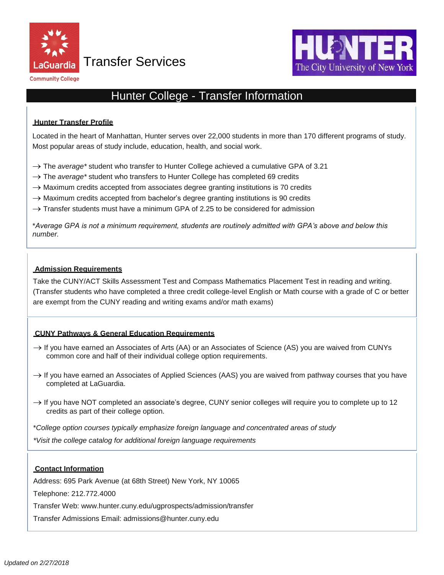

Transfer Services





# Hunter College - Transfer Information

# **Hunter Transfer Profile**

Located in the heart of Manhattan, Hunter serves over 22,000 students in more than 170 different programs of study. Most popular areas of study include, education, health, and social work.

- → The *average\** student who transfer to Hunter College achieved a cumulative GPA of 3.21
- → The *average\** student who transfers to Hunter College has completed 69 credits
- $\rightarrow$  Maximum credits accepted from associates degree granting institutions is 70 credits
- $\rightarrow$  Maximum credits accepted from bachelor's degree granting institutions is 90 credits
- $\rightarrow$  Transfer students must have a minimum GPA of 2.25 to be considered for admission

\**Average GPA is not a minimum requirement, students are routinely admitted with GPA's above and below this number.*

# **Admission Requirements**

 (Transfer students who have completed a three credit college-level English or Math course with a grade of C or better are exempt from the CUNY reading and writing exams and/or math exams) Take the CUNY/ACT Skills Assessment Test and Compass Mathematics Placement Test in reading and writing.

# **CUNY Pathways & General Education Requirements**

- $\rightarrow$  If you have earned an Associates of Arts (AA) or an Associates of Science (AS) you are waived from CUNYs common core and half of their individual college option requirements.
- $\rightarrow$  If you have earned an Associates of Applied Sciences (AAS) you are waived from pathway courses that you have completed at LaGuardia.
- $\rightarrow$  If you have NOT completed an associate's degree, CUNY senior colleges will require you to complete up to 12 credits as part of their college option.

\**College option courses typically emphasize foreign language and concentrated areas of study*

*\*Visit the college catalog for additional foreign language requirements*

# **Contact Information**

Address: 695 Park Avenue (at 68th Street) New York, NY 10065

Telephone: 212.772.4000

Transfer Web: [www.hunter.cuny.edu/ugprospects/admission/transfer](http://www.hunter.cuny.edu/ugprospects/admission/transfer) 

Transfer Admissions Email: [admissions@hunter.cuny.edu](mailto:admissions@hunter.cuny.edu)